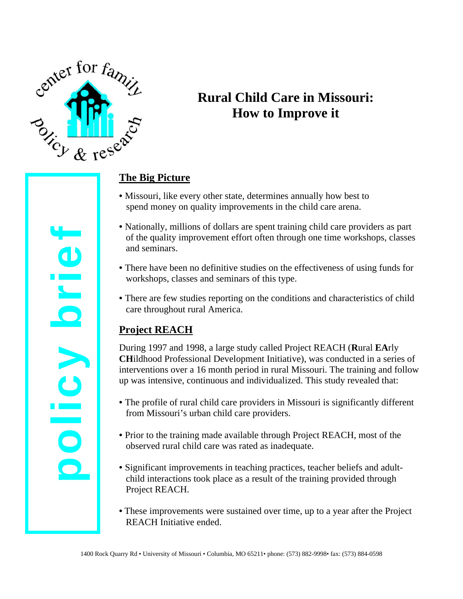

# **Rural Child Care in Missouri: How to Improve it**

## **The Big Picture**

- Missouri, like every other state, determines annually how best to spend money on quality improvements in the child care arena.
- Nationally, millions of dollars are spent training child care providers as part of the quality improvement effort often through one time workshops, classes and seminars.
- There have been no definitive studies on the effectiveness of using funds for workshops, classes and seminars of this type.
- There are few studies reporting on the conditions and characteristics of child care throughout rural America.

# **Project REACH**

During 1997 and 1998, a large study called Project REACH (**R**ural **EA**rly **CH**ildhood Professional Development Initiative), was conducted in a series of interventions over a 16 month period in rural Missouri. The training and follow up was intensive, continuous and individualized. This study revealed that:

- The profile of rural child care providers in Missouri is significantly different from Missouri's urban child care providers.
- Prior to the training made available through Project REACH, most of the observed rural child care was rated as inadequate.
- Significant improvements in teaching practices, teacher beliefs and adultchild interactions took place as a result of the training provided through Project REACH.
- These improvements were sustained over time, up to a year after the Project REACH Initiative ended.